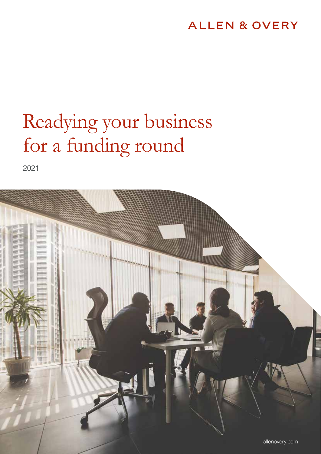### **ALLEN & OVERY**

# Readying your business for a funding round

2021

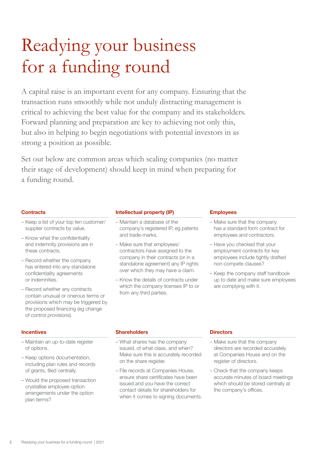## Readying your business for a funding round

A capital raise is an important event for any company. Ensuring that the transaction runs smoothly while not unduly distracting management is critical to achieving the best value for the company and its stakeholders. Forward planning and preparation are key to achieving not only this, but also in helping to begin negotiations with potential investors in as strong a position as possible.

Set out below are common areas which scaling companies (no matter their stage of development) should keep in mind when preparing for a funding round.

#### **Contracts**

- Keep a list of your top ten customer/ supplier contracts by value.
- Know what the confidentiality and indemnity provisions are in these contracts.
- Record whether the company has entered into any standalone confidentiality agreements or indemnities.
- Record whether any contracts contain unusual or onerous terms or provisions which may be triggered by the proposed financing (eg change of control provisions).

#### **Incentives**

- Maintain an up-to-date register of options.
- Keep options documentation, including plan rules and records of grants, filed centrally.
- Would the proposed transaction crystallise employee option arrangements under the option plan terms?

#### Intellectual property (IP)

- Maintain a database of the company's registered IP, eg patents and trade-marks.
- Make sure that employees/ contractors have assigned to the company in their contracts (or in a standalone agreement) any IP rights over which they may have a claim.
- Know the details of contracts under which the company licenses IP to or from any third parties.

#### Employees

- Make sure that the company has a standard form contract for employees and contractors.
- Have you checked that your employment contracts for key employees include tightly drafted non-compete clauses?
- Keep the company staff handbook up to date and make sure employees are complying with it.

#### **Shareholders**

- What shares has the company issued, of what class, and when? Make sure this is accurately recorded on the share register.
- File records at Companies House, ensure share certificates have been issued and you have the correct contact details for shareholders for when it comes to signing documents.

#### **Directors**

- Make sure that the company directors are recorded accurately at Companies House and on the register of directors.
- Check that the company keeps accurate minutes of board meetings which should be stored centrally at the company's offices.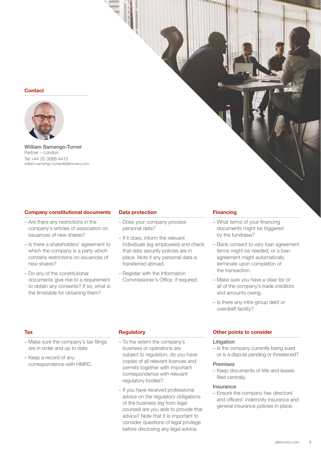#### **Contact**



William Samengo-Turner Partner – London Tel +44 20 3088 4415 william.samengo-turner@allenovery.com

#### Company constitutional documents

- Are there any restrictions in the company's articles of association on issuances of new shares?
- Is there a shareholders' agreement to which the company is a party which contains restrictions on issuances of new shares?
- Do any of the constitutional documents give rise to a requirement to obtain any consents? If so, what is the timetable for obtaining them?

#### Data protection

- Does your company process personal data?
- If it does, inform the relevant individuals (eg employees) and check that data security policies are in place. Note if any personal data is transferred abroad.
- Register with the Information Commissioner's Office, if required.

#### **Financing**

- What terms of your financing documents might be triggered by the fundraise?
- Bank consent to vary loan agreement terms might be needed, or a loan agreement might automatically terminate upon completion of the transaction.
- Make sure you have a clear list of all of the company's trade creditors and amounts owing.
- Is there any intra-group debt or overdraft facility?

#### **Tax**

- Make sure the company's tax filings are in order and up to date.
- Keep a record of any correspondence with HMRC.

#### **Regulatory**

- To the extent the company's business or operations are subject to regulation, do you have copies of all relevant licences and permits together with important correspondence with relevant regulatory bodies?
- If you have received professional advice on the regulatory obligations of the business (eg from legal counsel) are you able to provide that advice? Note that it is important to consider questions of legal privilege before disclosing any legal advice.

#### Other points to consider

#### Litigation

– Is the company currently being sued or is a dispute pending or threatened?

#### Premises

– Keep documents of title and leases filed centrally.

#### Insurance

– Ensure the company has directors' and officers' indemnity insurance and general insurance policies in place.